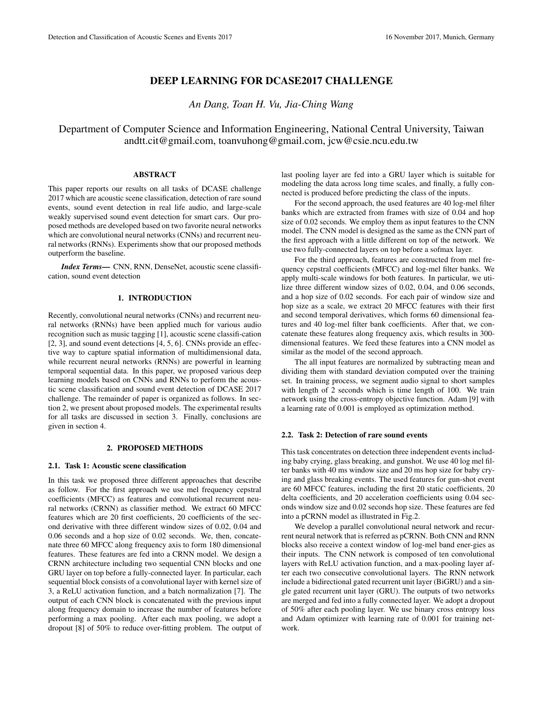# DEEP LEARNING FOR DCASE2017 CHALLENGE

*An Dang, Toan H. Vu, Jia-Ching Wang*

Department of Computer Science and Information Engineering, National Central University, Taiwan andtt.cit@gmail.com, toanvuhong@gmail.com, jcw@csie.ncu.edu.tw

## ABSTRACT

This paper reports our results on all tasks of DCASE challenge 2017 which are acoustic scene classification, detection of rare sound events, sound event detection in real life audio, and large-scale weakly supervised sound event detection for smart cars. Our proposed methods are developed based on two favorite neural networks which are convolutional neural networks (CNNs) and recurrent neural networks (RNNs). Experiments show that our proposed methods outperform the baseline.

*Index Terms*— CNN, RNN, DenseNet, acoustic scene classification, sound event detection

# 1. INTRODUCTION

Recently, convolutional neural networks (CNNs) and recurrent neural networks (RNNs) have been applied much for various audio recognition such as music tagging [1], acoustic scene classifi-cation [2, 3], and sound event detections [4, 5, 6]. CNNs provide an effective way to capture spatial information of multidimensional data, while recurrent neural networks (RNNs) are powerful in learning temporal sequential data. In this paper, we proposed various deep learning models based on CNNs and RNNs to perform the acoustic scene classification and sound event detection of DCASE 2017 challenge. The remainder of paper is organized as follows. In section 2, we present about proposed models. The experimental results for all tasks are discussed in section 3. Finally, conclusions are given in section 4.

# 2. PROPOSED METHODS

#### 2.1. Task 1: Acoustic scene classification

In this task we proposed three different approaches that describe as follow. For the first approach we use mel frequency cepstral coefficients (MFCC) as features and convolutional recurrent neural networks (CRNN) as classifier method. We extract 60 MFCC features which are 20 first coefficients, 20 coefficients of the second derivative with three different window sizes of 0.02, 0.04 and 0.06 seconds and a hop size of 0.02 seconds. We, then, concatenate three 60 MFCC along frequency axis to form 180 dimensional features. These features are fed into a CRNN model. We design a CRNN architecture including two sequential CNN blocks and one GRU layer on top before a fully-connected layer. In particular, each sequential block consists of a convolutional layer with kernel size of 3, a ReLU activation function, and a batch normalization [7]. The output of each CNN block is concatenated with the previous input along frequency domain to increase the number of features before performing a max pooling. After each max pooling, we adopt a dropout [8] of 50% to reduce over-fitting problem. The output of

last pooling layer are fed into a GRU layer which is suitable for modeling the data across long time scales, and finally, a fully connected is produced before predicting the class of the inputs.

For the second approach, the used features are 40 log-mel filter banks which are extracted from frames with size of 0.04 and hop size of 0.02 seconds. We employ them as input features to the CNN model. The CNN model is designed as the same as the CNN part of the first approach with a little different on top of the network. We use two fully-connected layers on top before a sofmax layer.

For the third approach, features are constructed from mel frequency cepstral coefficients (MFCC) and log-mel filter banks. We apply multi-scale windows for both features. In particular, we utilize three different window sizes of 0.02, 0.04, and 0.06 seconds, and a hop size of 0.02 seconds. For each pair of window size and hop size as a scale, we extract 20 MFCC features with their first and second temporal derivatives, which forms 60 dimensional features and 40 log-mel filter bank coefficients. After that, we concatenate these features along frequency axis, which results in 300 dimensional features. We feed these features into a CNN model as similar as the model of the second approach.

The all input features are normalized by subtracting mean and dividing them with standard deviation computed over the training set. In training process, we segment audio signal to short samples with length of 2 seconds which is time length of 100. We train network using the cross-entropy objective function. Adam [9] with a learning rate of 0.001 is employed as optimization method.

# 2.2. Task 2: Detection of rare sound events

This task concentrates on detection three independent events including baby crying, glass breaking, and gunshot. We use 40 log mel filter banks with 40 ms window size and 20 ms hop size for baby crying and glass breaking events. The used features for gun-shot event are 60 MFCC features, including the first 20 static coefficients, 20 delta coefficients, and 20 acceleration coefficients using 0.04 seconds window size and 0.02 seconds hop size. These features are fed into a pCRNN model as illustrated in Fig.2.

We develop a parallel convolutional neural network and recurrent neural network that is referred as pCRNN. Both CNN and RNN blocks also receive a context window of log-mel band ener-gies as their inputs. The CNN network is composed of ten convolutional layers with ReLU activation function, and a max-pooling layer after each two consecutive convolutional layers. The RNN network include a bidirectional gated recurrent unit layer (BiGRU) and a single gated recurrent unit layer (GRU). The outputs of two networks are merged and fed into a fully connected layer. We adopt a dropout of 50% after each pooling layer. We use binary cross entropy loss and Adam optimizer with learning rate of 0.001 for training network.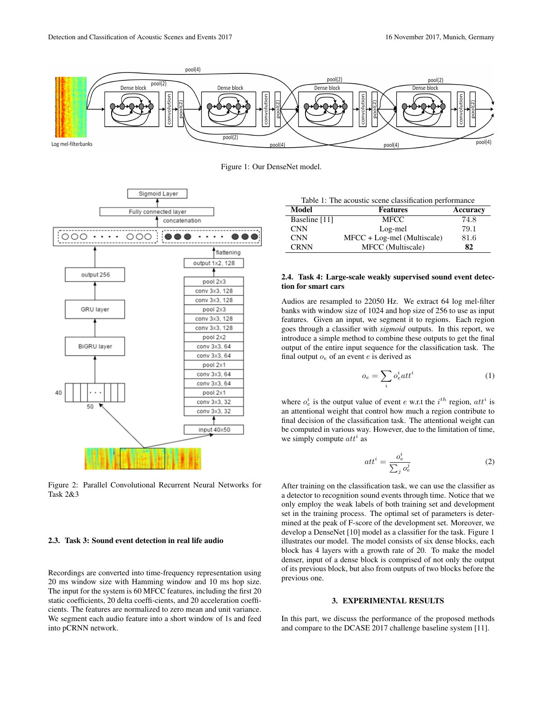

Figure 1: Our DenseNet model.



Figure 2: Parallel Convolutional Recurrent Neural Networks for Task 2&3

# 2.3. Task 3: Sound event detection in real life audio

Recordings are converted into time-frequency representation using 20 ms window size with Hamming window and 10 ms hop size. The input for the system is 60 MFCC features, including the first 20 static coefficients, 20 delta coeffi-cients, and 20 acceleration coefficients. The features are normalized to zero mean and unit variance. We segment each audio feature into a short window of 1s and feed into pCRNN network.

|  |  |  |  |  | Table 1: The acoustic scene classification performance |
|--|--|--|--|--|--------------------------------------------------------|
|--|--|--|--|--|--------------------------------------------------------|

| Model         | <b>Features</b>             | Accuracy |
|---------------|-----------------------------|----------|
| Baseline [11] | <b>MFCC</b>                 | 74.8     |
| <b>CNN</b>    | Log-mel                     | 79.1     |
| <b>CNN</b>    | MFCC + Log-mel (Multiscale) | 81.6     |
| <b>CRNN</b>   | MFCC (Multiscale)           | 82       |

# 2.4. Task 4: Large-scale weakly supervised sound event detection for smart cars

Audios are resampled to 22050 Hz. We extract 64 log mel-filter banks with window size of 1024 and hop size of 256 to use as input features. Given an input, we segment it to regions. Each region goes through a classifier with *sigmoid* outputs. In this report, we introduce a simple method to combine these outputs to get the final output of the entire input sequence for the classification task. The final output  $o_e$  of an event e is derived as

$$
o_e = \sum_i o_e^i att^i \tag{1}
$$

where  $o_e^i$  is the output value of event e w.r.t the  $i^{th}$  region,  $att^i$  is an attentional weight that control how much a region contribute to final decision of the classification task. The attentional weight can be computed in various way. However, due to the limitation of time, we simply compute  $att^i$  as

$$
att^i = \frac{o_e^i}{\sum_j o_e^j}
$$
 (2)

After training on the classification task, we can use the classifier as a detector to recognition sound events through time. Notice that we only employ the weak labels of both training set and development set in the training process. The optimal set of parameters is determined at the peak of F-score of the development set. Moreover, we develop a DenseNet [10] model as a classifier for the task. Figure 1 illustrates our model. The model consists of six dense blocks, each block has 4 layers with a growth rate of 20. To make the model denser, input of a dense block is comprised of not only the output of its previous block, but also from outputs of two blocks before the previous one.

### 3. EXPERIMENTAL RESULTS

In this part, we discuss the performance of the proposed methods and compare to the DCASE 2017 challenge baseline system [11].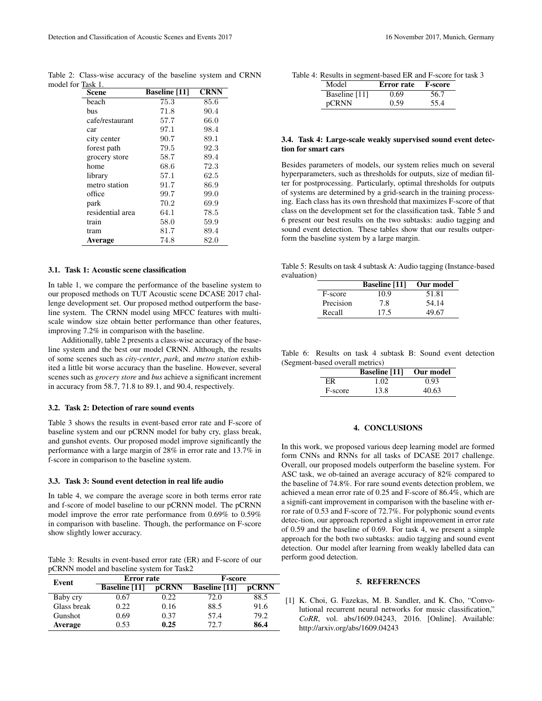| Scene            | <b>Baseline</b> [11] | <b>CRNN</b> |
|------------------|----------------------|-------------|
| beach            | 75.3                 | 85.6        |
| bus              | 71.8                 | 90.4        |
| cafe/restaurant  | 57.7                 | 66.0        |
| car              | 97.1                 | 98.4        |
| city center      | 90.7                 | 89.1        |
| forest path      | 79.5                 | 92.3        |
| grocery store    | 58.7                 | 89.4        |
| home             | 68.6                 | 72.3        |
| library          | 57.1                 | 62.5        |
| metro station    | 91.7                 | 86.9        |
| office           | 99.7                 | 99.0        |
| park             | 70.2                 | 69.9        |
| residential area | 64.1                 | 78.5        |
| train            | 58.0                 | 59.9        |
| tram             | 81.7                 | 89.4        |
| Average          | 74.8                 | 82.0        |

Table 2: Class-wise accuracy of the baseline system and CRNN model for Task 1.

#### 3.1. Task 1: Acoustic scene classification

In table 1, we compare the performance of the baseline system to our proposed methods on TUT Acoustic scene DCASE 2017 challenge development set. Our proposed method outperform the baseline system. The CRNN model using MFCC features with multiscale window size obtain better performance than other features, improving 7.2% in comparison with the baseline.

Additionally, table 2 presents a class-wise accuracy of the baseline system and the best our model CRNN. Although, the results of some scenes such as *city-center*, *park*, and *metro station* exhibited a little bit worse accuracy than the baseline. However, several scenes such as *grocery store* and *bus* achieve a significant increment in accuracy from 58.7, 71.8 to 89.1, and 90.4, respectively.

# 3.2. Task 2: Detection of rare sound events

Table 3 shows the results in event-based error rate and F-score of baseline system and our pCRNN model for baby cry, glass break, and gunshot events. Our proposed model improve significantly the performance with a large margin of 28% in error rate and 13.7% in f-score in comparison to the baseline system.

### 3.3. Task 3: Sound event detection in real life audio

In table 4, we compare the average score in both terms error rate and f-score of model baseline to our pCRNN model. The pCRNN model improve the error rate performance from 0.69% to 0.59% in comparison with baseline. Though, the performance on F-score show slightly lower accuracy.

Table 3: Results in event-based error rate (ER) and F-score of our pCRNN model and baseline system for Task2

| Event          | <b>Error</b> rate    |              | <b>F-score</b>       |              |
|----------------|----------------------|--------------|----------------------|--------------|
|                | <b>Baseline</b> [11] | <b>pCRNN</b> | <b>Baseline</b> [11] | <b>pCRNN</b> |
| Baby cry       | 0.67                 | 0.22         | 72.0                 | 88.5         |
| Glass break    | 0.22.                | 0.16         | 88.5                 | 91.6         |
| <b>Gunshot</b> | 0.69                 | 0.37         | 57.4                 | 79.2         |
| <b>Average</b> | 0.53                 | 0.25         | 72.7                 | 86.4         |

|  | Table 4: Results in segment-based ER and F-score for task 3 |  |  |
|--|-------------------------------------------------------------|--|--|
|--|-------------------------------------------------------------|--|--|

| Model         | <b>Error</b> rate | <b>F-score</b> |
|---------------|-------------------|----------------|
| Baseline [11] | 0.69              | 56.7           |
| pCRNN         | 0.59              | 55.4           |

# 3.4. Task 4: Large-scale weakly supervised sound event detection for smart cars

Besides parameters of models, our system relies much on several hyperparameters, such as thresholds for outputs, size of median filter for postprocessing. Particularly, optimal thresholds for outputs of systems are determined by a grid-search in the training processing. Each class has its own threshold that maximizes F-score of that class on the development set for the classification task. Table 5 and 6 present our best results on the two subtasks: audio tagging and sound event detection. These tables show that our results outperform the baseline system by a large margin.

Table 5: Results on task 4 subtask A: Audio tagging (Instance-based evaluation)

|           | <b>Baseline</b> [11] | Our model |
|-----------|----------------------|-----------|
| F-score   | 10.9                 | 51.81     |
| Precision | 7.8                  | 54.14     |
| Recall    | 17.5                 | 49.67     |

Table 6: Results on task 4 subtask B: Sound event detection (Segment-based overall metrics)

|         | <b>Baseline</b> [11] | Our model |
|---------|----------------------|-----------|
| ER      | 1.02                 | 0.93      |
| F-score | 13.8                 | 40.63     |

### 4. CONCLUSIONS

In this work, we proposed various deep learning model are formed form CNNs and RNNs for all tasks of DCASE 2017 challenge. Overall, our proposed models outperform the baseline system. For ASC task, we ob-tained an average accuracy of 82% compared to the baseline of 74.8%. For rare sound events detection problem, we achieved a mean error rate of 0.25 and F-score of 86.4%, which are a signifi-cant improvement in comparison with the baseline with error rate of 0.53 and F-score of 72.7%. For polyphonic sound events detec-tion, our approach reported a slight improvement in error rate of 0.59 and the baseline of 0.69. For task 4, we present a simple approach for the both two subtasks: audio tagging and sound event detection. Our model after learning from weakly labelled data can perform good detection.

#### 5. REFERENCES

[1] K. Choi, G. Fazekas, M. B. Sandler, and K. Cho, "Convolutional recurrent neural networks for music classification," *CoRR*, vol. abs/1609.04243, 2016. [Online]. Available: http://arxiv.org/abs/1609.04243